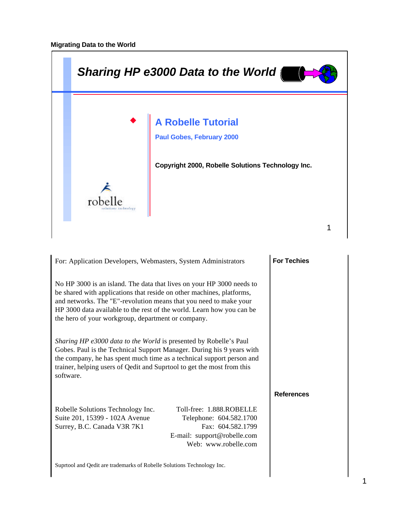

| For: Application Developers, Webmasters, System Administrators                                                                                                                                                                                                                                                                                     |                                                                                                                                 | <b>For Techies</b> |
|----------------------------------------------------------------------------------------------------------------------------------------------------------------------------------------------------------------------------------------------------------------------------------------------------------------------------------------------------|---------------------------------------------------------------------------------------------------------------------------------|--------------------|
| No HP 3000 is an island. The data that lives on your HP 3000 needs to<br>be shared with applications that reside on other machines, platforms,<br>and networks. The "E"-revolution means that you need to make your<br>HP 3000 data available to the rest of the world. Learn how you can be<br>the hero of your workgroup, department or company. |                                                                                                                                 |                    |
| Sharing HP e3000 data to the World is presented by Robelle's Paul<br>Gobes. Paul is the Technical Support Manager. During his 9 years with<br>the company, he has spent much time as a technical support person and<br>trainer, helping users of Qedit and Suprtool to get the most from this<br>software.                                         |                                                                                                                                 |                    |
|                                                                                                                                                                                                                                                                                                                                                    |                                                                                                                                 | <b>References</b>  |
| Robelle Solutions Technology Inc.<br>Suite 201, 15399 - 102A Avenue<br>Surrey, B.C. Canada V3R 7K1                                                                                                                                                                                                                                                 | Toll-free: 1.888.ROBELLE<br>Telephone: 604.582.1700<br>Fax: 604.582.1799<br>E-mail: support@robelle.com<br>Web: www.robelle.com |                    |
| Suprtool and Qedit are trademarks of Robelle Solutions Technology Inc.                                                                                                                                                                                                                                                                             |                                                                                                                                 |                    |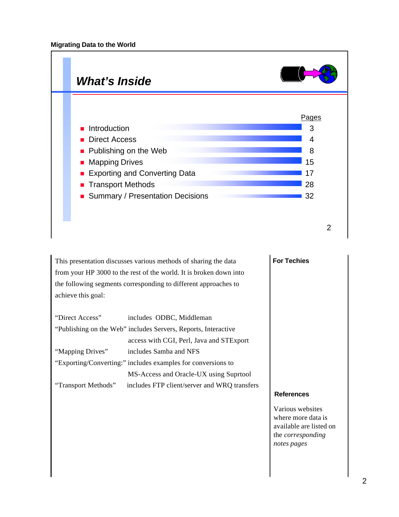

This presentation discusses various methods of sharing the data from your HP 3000 to the rest of the world. It is broken down into the following segments corresponding to different approaches to achieve this goal:

| "Direct Access"     | includes ODBC, Middleman                                       |                   |
|---------------------|----------------------------------------------------------------|-------------------|
|                     | "Publishing on the Web" includes Servers, Reports, Interactive |                   |
|                     | access with CGI, Perl, Java and STExport                       |                   |
| "Mapping Drives"    | includes Samba and NFS                                         |                   |
|                     | "Exporting/Converting:" includes examples for conversions to   |                   |
|                     | MS-Access and Oracle-UX using Suprtool                         |                   |
| "Transport Methods" | includes FTP client/server and WRQ transfers                   |                   |
|                     |                                                                | <b>References</b> |
|                     |                                                                | Various websites  |

Various websites where more data is available are listed on the *corresponding notes pages*

**For Techies**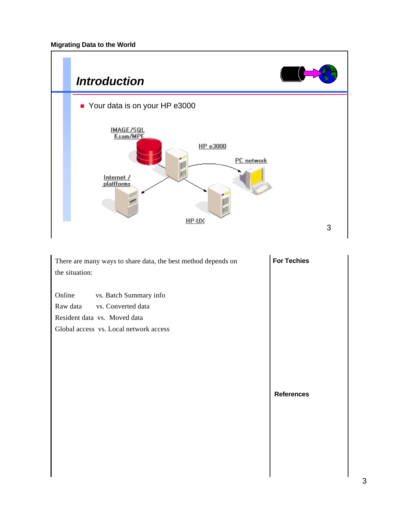

| There are many ways to share data, the best method depends on<br>the situation:                                                              | <b>For Techies</b> |
|----------------------------------------------------------------------------------------------------------------------------------------------|--------------------|
| Online<br>vs. Batch Summary info<br>Raw data<br>vs. Converted data<br>Resident data vs. Moved data<br>Global access vs. Local network access |                    |
|                                                                                                                                              | <b>References</b>  |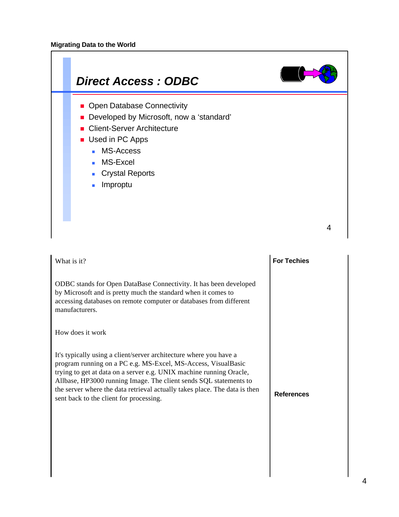

| What is it?                                                                                                                                                                                                                                                                                                                                                                                              | <b>For Techies</b> |
|----------------------------------------------------------------------------------------------------------------------------------------------------------------------------------------------------------------------------------------------------------------------------------------------------------------------------------------------------------------------------------------------------------|--------------------|
| ODBC stands for Open DataBase Connectivity. It has been developed<br>by Microsoft and is pretty much the standard when it comes to<br>accessing databases on remote computer or databases from different<br>manufacturers.                                                                                                                                                                               |                    |
| How does it work                                                                                                                                                                                                                                                                                                                                                                                         |                    |
| It's typically using a client/server architecture where you have a<br>program running on a PC e.g. MS-Excel, MS-Access, VisualBasic<br>trying to get at data on a server e.g. UNIX machine running Oracle,<br>Allbase, HP3000 running Image. The client sends SQL statements to<br>the server where the data retrieval actually takes place. The data is then<br>sent back to the client for processing. | <b>References</b>  |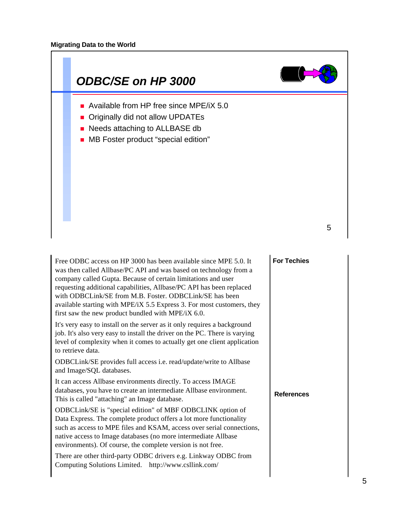

| Free ODBC access on HP 3000 has been available since MPE 5.0. It<br>was then called Allbase/PC API and was based on technology from a<br>company called Gupta. Because of certain limitations and user<br>requesting additional capabilities, Allbase/PC API has been replaced<br>with ODBCLink/SE from M.B. Foster. ODBCLink/SE has been<br>available starting with MPE/iX 5.5 Express 3. For most customers, they<br>first saw the new product bundled with MPE/iX 6.0. | <b>For Techies</b> |
|---------------------------------------------------------------------------------------------------------------------------------------------------------------------------------------------------------------------------------------------------------------------------------------------------------------------------------------------------------------------------------------------------------------------------------------------------------------------------|--------------------|
| It's very easy to install on the server as it only requires a background<br>job. It's also very easy to install the driver on the PC. There is varying<br>level of complexity when it comes to actually get one client application<br>to retrieve data.                                                                                                                                                                                                                   |                    |
| ODBCLink/SE provides full access i.e. read/update/write to Allbase<br>and Image/SQL databases.                                                                                                                                                                                                                                                                                                                                                                            |                    |
| It can access Allbase environments directly. To access IMAGE<br>databases, you have to create an intermediate Allbase environment.<br>This is called "attaching" an Image database.                                                                                                                                                                                                                                                                                       | <b>References</b>  |
| ODBCLink/SE is "special edition" of MBF ODBCLINK option of<br>Data Express. The complete product offers a lot more functionality<br>such as access to MPE files and KSAM, access over serial connections,<br>native access to Image databases (no more intermediate Allbase<br>environments). Of course, the complete version is not free.                                                                                                                                |                    |
| There are other third-party ODBC drivers e.g. Linkway ODBC from<br>Computing Solutions Limited. http://www.csllink.com/                                                                                                                                                                                                                                                                                                                                                   |                    |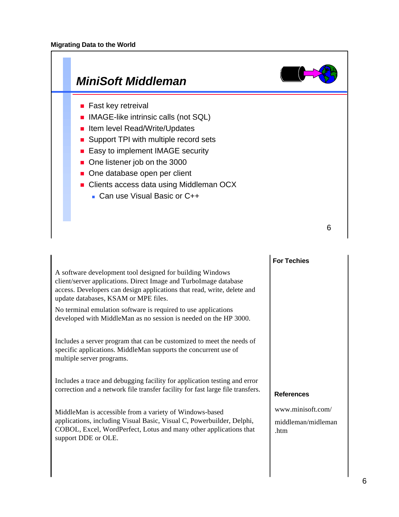

|                                                                                                                                                                                                                                                  | <b>For Techies</b>                              |
|--------------------------------------------------------------------------------------------------------------------------------------------------------------------------------------------------------------------------------------------------|-------------------------------------------------|
| A software development tool designed for building Windows<br>client/server applications. Direct Image and TurboImage database<br>access. Developers can design applications that read, write, delete and<br>update databases, KSAM or MPE files. |                                                 |
| No terminal emulation software is required to use applications<br>developed with MiddleMan as no session is needed on the HP 3000.                                                                                                               |                                                 |
| Includes a server program that can be customized to meet the needs of<br>specific applications. MiddleMan supports the concurrent use of<br>multiple server programs.                                                                            |                                                 |
| Includes a trace and debugging facility for application testing and error<br>correction and a network file transfer facility for fast large file transfers.                                                                                      | <b>References</b>                               |
| MiddleMan is accessible from a variety of Windows-based<br>applications, including Visual Basic, Visual C, Powerbuilder, Delphi,<br>COBOL, Excel, WordPerfect, Lotus and many other applications that<br>support DDE or OLE.                     | www.minisoft.com/<br>middleman/midleman<br>.htm |
|                                                                                                                                                                                                                                                  |                                                 |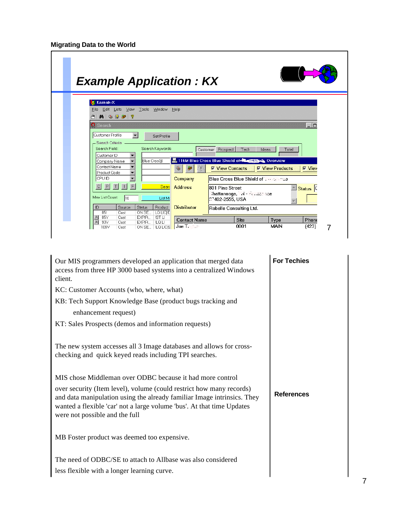| <b>Example Application: KX</b>                                                                                                                                                                                                                                                                                                                                            |
|---------------------------------------------------------------------------------------------------------------------------------------------------------------------------------------------------------------------------------------------------------------------------------------------------------------------------------------------------------------------------|
| Karnak-X<br>View Tools Window Help<br>Edit Lists<br>File<br><b>M</b> ● 芬子 ?                                                                                                                                                                                                                                                                                               |
| <b>Q</b> Search<br>$ \Box$<br>Customer Profile<br>$\blacktriangledown$<br>Set Profile<br>- Search Criteria<br>Search Field:<br>Search Keywords<br>Prospect<br>Tech<br>Ideas<br>Total<br>Customer<br>Customer ID                                                                                                                                                           |
| 116M Blue Cross Blue Shield of The Team De Overview<br>Blue Cros@<br>Company Name<br>Contact Name<br><b><math>⊽</math></b> View Contacts<br><b><math>⊓</math></b> View Products<br><b>⊠</b> View<br>€<br>Product Code<br>CPU ID<br>Blue Cross Blue Shield of The Street<br>Company<br> C <br>P<br>Seard<br><b>Address</b><br>801 Pine Street<br><mark>≙ Status  </mark> C |
| thattanooga, N - Tunit toe<br>Max List Count:<br>10<br>List Mo<br>7402-2555, USA<br>Source<br><b>Status</b><br>Product<br><b>Distributor</b><br>ID<br>Robelle Consulting Ltd.<br>851<br>ON SE<br>LQ LICIIE<br>Cust<br>底底<br>85Y<br>EXPIR<br><b>IST LI</b><br>Cust<br>Site<br>Phone<br><b>Contact Name</b>                                                                 |
| Type<br>93V<br>EXPIR<br><b>ILQ LI</b><br>Cust<br>0001<br>MAIN<br>$Joe T. \t$<br>(423)<br>ON SE   ILQ LICIS<br>109V<br>Cust                                                                                                                                                                                                                                                |

| Our MIS programmers developed an application that merged data<br>access from three HP 3000 based systems into a centralized Windows<br>client.                                                                                                              | <b>For Techies</b> |
|-------------------------------------------------------------------------------------------------------------------------------------------------------------------------------------------------------------------------------------------------------------|--------------------|
| KC: Customer Accounts (who, where, what)                                                                                                                                                                                                                    |                    |
| KB: Tech Support Knowledge Base (product bugs tracking and<br>enhancement request)                                                                                                                                                                          |                    |
| KT: Sales Prospects (demos and information requests)                                                                                                                                                                                                        |                    |
| The new system accesses all 3 Image databases and allows for cross-<br>checking and quick keyed reads including TPI searches.                                                                                                                               |                    |
| MIS chose Middleman over ODBC because it had more control                                                                                                                                                                                                   |                    |
| over security (Item level), volume (could restrict how many records)<br>and data manipulation using the already familiar Image intrinsics. They<br>wanted a flexible 'car' not a large volume 'bus'. At that time Updates<br>were not possible and the full | <b>References</b>  |
| MB Foster product was deemed too expensive.                                                                                                                                                                                                                 |                    |
| The need of ODBC/SE to attach to Allbase was also considered                                                                                                                                                                                                |                    |
| less flexible with a longer learning curve.                                                                                                                                                                                                                 |                    |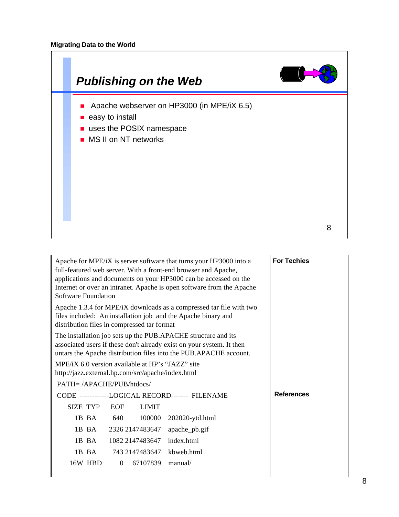

| Apache for MPE/iX is server software that turns your HP3000 into a<br>full-featured web server. With a front-end browser and Apache,<br>applications and documents on your HP3000 can be accessed on the<br>Internet or over an intranet. Apache is open software from the Apache<br>Software Foundation | <b>For Techies</b> |                   |
|----------------------------------------------------------------------------------------------------------------------------------------------------------------------------------------------------------------------------------------------------------------------------------------------------------|--------------------|-------------------|
| Apache 1.3.4 for MPE/iX downloads as a compressed tar file with two<br>files included: An installation job and the Apache binary and<br>distribution files in compressed tar format                                                                                                                      |                    |                   |
| The installation job sets up the PUB.APACHE structure and its<br>associated users if these don't already exist on your system. It then<br>untars the Apache distribution files into the PUB.APACHE account.                                                                                              |                    |                   |
| MPE/iX 6.0 version available at HP's "JAZZ" site<br>http://jazz.external.hp.com/src/apache/index.html                                                                                                                                                                                                    |                    |                   |
| $PATH = /APACHE/PUB/htdocs/$                                                                                                                                                                                                                                                                             |                    |                   |
| CODE ------------LOGICAL RECORD------- FILENAME                                                                                                                                                                                                                                                          |                    | <b>References</b> |
| SIZE TYP<br>EOF<br><b>LIMIT</b>                                                                                                                                                                                                                                                                          |                    |                   |
| 640<br>1B BA<br>100000                                                                                                                                                                                                                                                                                   | 202020-ytd.html    |                   |
| 1B BA<br>2326 2147483647                                                                                                                                                                                                                                                                                 | apache_pb.gif      |                   |
| 1B BA<br>1082 2147483647                                                                                                                                                                                                                                                                                 | index.html         |                   |
| 1B BA<br>743 2147483647                                                                                                                                                                                                                                                                                  | kbweb.html         |                   |
| 67107839<br>16W HBD<br>$\Omega$                                                                                                                                                                                                                                                                          | manual/            |                   |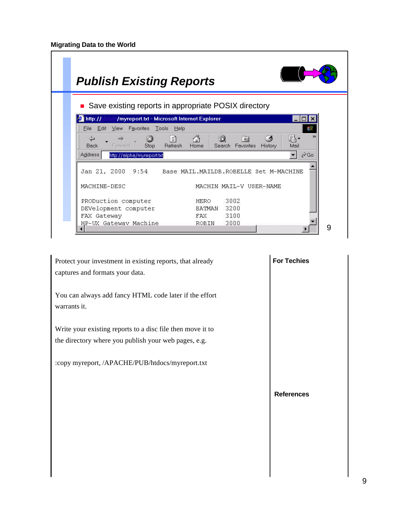|                                                        | • Save existing reports in appropriate POSIX directory                       |                        |
|--------------------------------------------------------|------------------------------------------------------------------------------|------------------------|
| http://<br>/myreport.txt - Microsoft Internet Explorer |                                                                              |                        |
| File Edit<br>View<br>Favorites<br>Tools                | Help                                                                         |                        |
| ⇦<br>Stop<br><b>Back</b><br>Forward                    | A<br>ी<br>ൂ\•<br>*<br>Refresh<br>Search Favorites<br>History<br>Home<br>Mail |                        |
| <b>Address</b><br>http://alpha/myreport.txt            |                                                                              | $\alpha$ <sup>Go</sup> |
|                                                        | Jan 21, 2000 9:54 Base MAIL.MAILDB.ROBELLE Set M-MACHINE                     |                        |
| MACHINE-DESC                                           | MACHIN MAIL-V USER-NAME                                                      |                        |
| PRODuction computer                                    | 3002<br><b>HERO</b>                                                          |                        |
|                                                        |                                                                              |                        |

| Protect your investment in existing reports, that already<br>captures and formats your data. | <b>For Techies</b> |
|----------------------------------------------------------------------------------------------|--------------------|
| You can always add fancy HTML code later if the effort<br>warrants it.                       |                    |
| Write your existing reports to a disc file then move it to                                   |                    |
| the directory where you publish your web pages, e.g.                                         |                    |
| :copy myreport, /APACHE/PUB/htdocs/myreport.txt                                              |                    |
|                                                                                              | <b>References</b>  |
|                                                                                              |                    |
|                                                                                              |                    |
|                                                                                              |                    |
|                                                                                              |                    |
|                                                                                              |                    |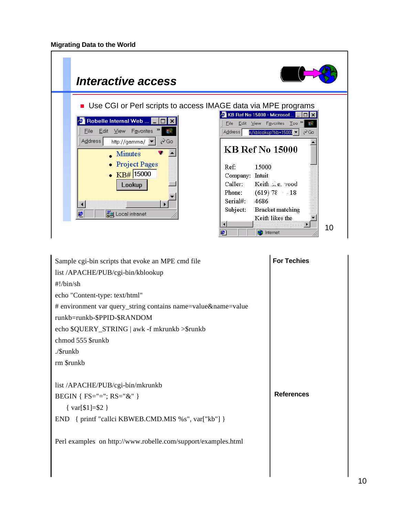

| Sample cgi-bin scripts that evoke an MPE cmd file             | <b>For Techies</b> |
|---------------------------------------------------------------|--------------------|
| list /APACHE/PUB/cgi-bin/kblookup                             |                    |
| $\#!/$ bin/sh                                                 |                    |
| echo "Content-type: text/html"                                |                    |
| # environment var query_string contains name=value&name=value |                    |
| runkb=runkb-\$PPID-\$RANDOM                                   |                    |
| echo \$QUERY_STRING   awk -f mkrunkb >\$runkb                 |                    |
| chmod 555 \$runkb                                             |                    |
| ./\$runkb                                                     |                    |
| rm \$runkb                                                    |                    |
|                                                               |                    |
| list /APACHE/PUB/cgi-bin/mkrunkb                              |                    |
| BEGIN { $FS="="; RS="&"$ }                                    | <b>References</b>  |
| { $var[$1] = $2$ }                                            |                    |
| END { printf "callci KBWEB.CMD.MIS %s", var["kb"] }           |                    |
|                                                               |                    |
| Perl examples on http://www.robelle.com/support/examples.html |                    |
|                                                               |                    |
|                                                               |                    |
|                                                               |                    |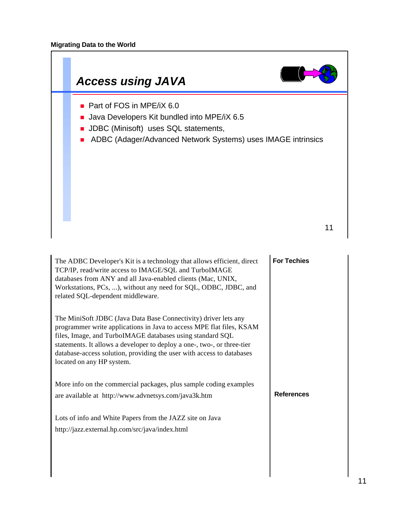

| The ADBC Developer's Kit is a technology that allows efficient, direct<br>TCP/IP, read/write access to IMAGE/SQL and TurboIMAGE<br>databases from ANY and all Java-enabled clients (Mac, UNIX,<br>Workstations, PCs, ), without any need for SQL, ODBC, JDBC, and<br>related SQL-dependent middleware.                                                                                | <b>For Techies</b> |
|---------------------------------------------------------------------------------------------------------------------------------------------------------------------------------------------------------------------------------------------------------------------------------------------------------------------------------------------------------------------------------------|--------------------|
| The MiniSoft JDBC (Java Data Base Connectivity) driver lets any<br>programmer write applications in Java to access MPE flat files, KSAM<br>files, Image, and TurboIMAGE databases using standard SQL<br>statements. It allows a developer to deploy a one-, two-, or three-tier<br>database-access solution, providing the user with access to databases<br>located on any HP system. |                    |
| More info on the commercial packages, plus sample coding examples<br>are available at http://www.advnetsys.com/java3k.htm                                                                                                                                                                                                                                                             | <b>References</b>  |
| Lots of info and White Papers from the JAZZ site on Java<br>http://jazz.external.hp.com/src/java/index.html                                                                                                                                                                                                                                                                           |                    |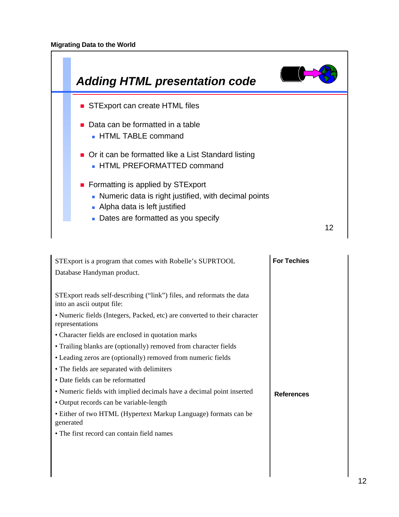

| STExport is a program that comes with Robelle's SUPRTOOL                                            | <b>For Techies</b> |
|-----------------------------------------------------------------------------------------------------|--------------------|
| Database Handyman product.                                                                          |                    |
|                                                                                                     |                    |
| STExport reads self-describing ("link") files, and reformats the data<br>into an ascii output file: |                    |
| • Numeric fields (Integers, Packed, etc) are converted to their character<br>representations        |                    |
| • Character fields are enclosed in quotation marks                                                  |                    |
| • Trailing blanks are (optionally) removed from character fields                                    |                    |
| • Leading zeros are (optionally) removed from numeric fields                                        |                    |
| • The fields are separated with delimiters                                                          |                    |
| • Date fields can be reformatted                                                                    |                    |
| • Numeric fields with implied decimals have a decimal point inserted                                | <b>References</b>  |
| • Output records can be variable-length                                                             |                    |
| • Either of two HTML (Hypertext Markup Language) formats can be<br>generated                        |                    |
| • The first record can contain field names                                                          |                    |
|                                                                                                     |                    |
|                                                                                                     |                    |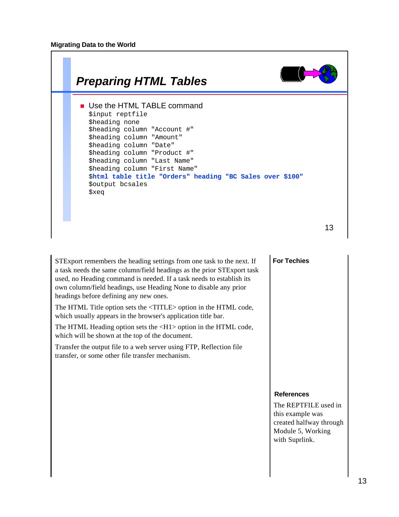

STExport remembers the heading settings from one task to the next. If a task needs the same column/field headings as the prior STExport task used, no Heading command is needed. If a task needs to establish its own column/field headings, use Heading None to disable any prior headings before defining any new ones.

The HTML Title option sets the <TITLE> option in the HTML code, which usually appears in the browser's application title bar.

The HTML Heading option sets the  $\langle H1 \rangle$  option in the HTML code, which will be shown at the top of the document.

Transfer the output file to a web server using FTP, Reflection file transfer, or some other file transfer mechanism.

## **For Techies**

## **References**

The REPTFILE used in this example was created halfway through Module 5, Working with Suprlink.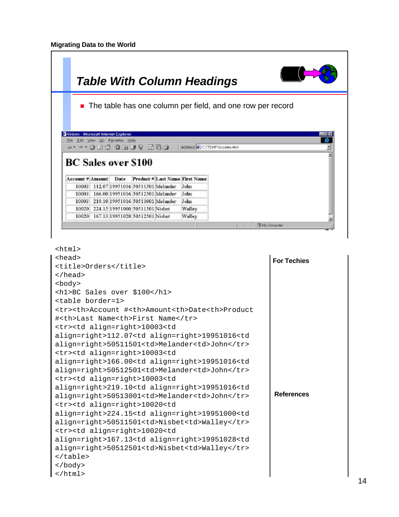|                                                                          |                                       |                                   |                                         | <b>Table With Column Headings</b>                    |                                                              |           |
|--------------------------------------------------------------------------|---------------------------------------|-----------------------------------|-----------------------------------------|------------------------------------------------------|--------------------------------------------------------------|-----------|
|                                                                          |                                       |                                   |                                         |                                                      | • The table has one column per field, and one row per record |           |
|                                                                          |                                       |                                   |                                         |                                                      |                                                              |           |
|                                                                          |                                       |                                   |                                         |                                                      |                                                              |           |
| Orders - Microsoft Internet Explorer<br>File Edit View Go Foveriles Help |                                       |                                   |                                         |                                                      |                                                              | <b>SE</b> |
| D5E 9000000000                                                           |                                       |                                   |                                         | Address 2 C.\TEMP\bosales.html                       |                                                              |           |
| <b>BC</b> Sales over \$100                                               |                                       |                                   |                                         |                                                      |                                                              |           |
|                                                                          |                                       |                                   |                                         | Account # Amount Date Product # Last Name First Name |                                                              |           |
| 10003                                                                    |                                       | 112.07 19951016 50511501 Melander |                                         | John                                                 |                                                              |           |
|                                                                          |                                       |                                   | 166.00 19951016 50512501 Melander       | John                                                 |                                                              |           |
| 10003                                                                    |                                       |                                   | 10003 219.10 19951016 50513001 Melander | John                                                 |                                                              |           |
|                                                                          |                                       |                                   |                                         |                                                      |                                                              |           |
|                                                                          | 10020 224.15 19951000 50511501 Nishet |                                   |                                         | Walley                                               |                                                              |           |

```
For Techies
                                                    References
<html>
<head>
<title>Orders</title>
</head>
<body>
<h1>BC Sales over $100</h1>
<table border=1>
<tr><th>Account #<th>Amount<th>Date<th>Product
#<th>Last Name<th>First Name</tr>
<tr><td align=right>10003<td
align=right>112.07<td align=right>19951016<td
align=right>50511501<td>Melander<td>John</tr>
<tr><td align=right>10003<td
align=right>166.00<td align=right>19951016<td
align=right>50512501<td>Melander<td>John</tr>
<tr><td align=right>10003<td
align=right>219.10<td align=right>19951016<td
align=right>50513001<td>Melander<td>John</tr>
<tr><td align=right>10020<td
align=right>224.15<td align=right>19951000<td
align=right>50511501<td>Nisbet<td>Walley</tr>
<tr><td align=right>10020<td
align=right>167.13<td align=right>19951028<td
align=right>50512501<td>Nisbet<td>Walley</tr>
</table>
</body>
</html>
```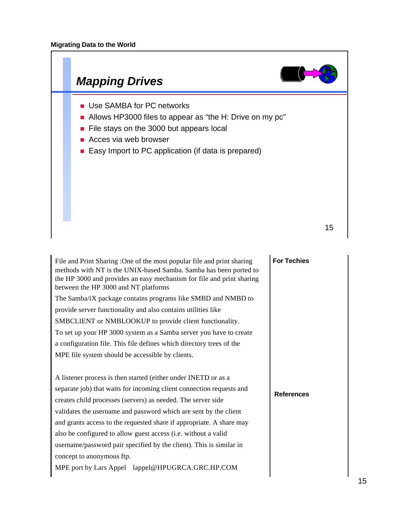

| File and Print Sharing : One of the most popular file and print sharing<br>methods with NT is the UNIX-based Samba. Samba has been ported to<br>the HP 3000 and provides an easy mechanism for file and print sharing<br>between the HP 3000 and NT platforms | <b>For Techies</b> |
|---------------------------------------------------------------------------------------------------------------------------------------------------------------------------------------------------------------------------------------------------------------|--------------------|
| The Samba/iX package contains programs like SMBD and NMBD to                                                                                                                                                                                                  |                    |
| provide server functionality and also contains utilities like                                                                                                                                                                                                 |                    |
| SMBCLIENT or NMBLOOKUP to provide client functionality.                                                                                                                                                                                                       |                    |
| To set up your HP 3000 system as a Samba server you have to create                                                                                                                                                                                            |                    |
| a configuration file. This file defines which directory trees of the                                                                                                                                                                                          |                    |
| MPE file system should be accessible by clients.                                                                                                                                                                                                              |                    |
|                                                                                                                                                                                                                                                               |                    |
| A listener process is then started (either under INETD or as a                                                                                                                                                                                                |                    |
| separate job) that waits for incoming client connection requests and                                                                                                                                                                                          | <b>References</b>  |
| creates child processes (servers) as needed. The server side                                                                                                                                                                                                  |                    |
| validates the username and password which are sent by the client                                                                                                                                                                                              |                    |
| and grants access to the requested share if appropriate. A share may                                                                                                                                                                                          |                    |
| also be configured to allow guest access (i.e. without a valid                                                                                                                                                                                                |                    |
| username/password pair specified by the client). This is similar in                                                                                                                                                                                           |                    |
| concept to anonymous ftp.                                                                                                                                                                                                                                     |                    |
| MPE port by Lars Appel lappel@HPUGRCA.GRC.HP.COM                                                                                                                                                                                                              |                    |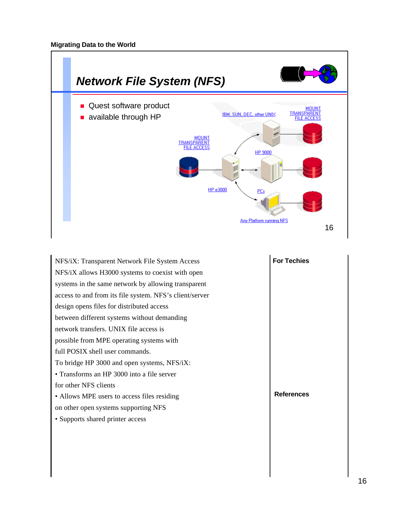

| NFS/iX: Transparent Network File System Access          | <b>For Techies</b> |
|---------------------------------------------------------|--------------------|
| NFS/iX allows H3000 systems to coexist with open        |                    |
| systems in the same network by allowing transparent     |                    |
| access to and from its file system. NFS's client/server |                    |
| design opens files for distributed access               |                    |
| between different systems without demanding             |                    |
| network transfers. UNIX file access is                  |                    |
| possible from MPE operating systems with                |                    |
| full POSIX shell user commands.                         |                    |
| To bridge HP 3000 and open systems, NFS/iX:             |                    |
| • Transforms an HP 3000 into a file server              |                    |
| for other NFS clients                                   |                    |
| • Allows MPE users to access files residing             | <b>References</b>  |
| on other open systems supporting NFS                    |                    |
| • Supports shared printer access                        |                    |
|                                                         |                    |
|                                                         |                    |
|                                                         |                    |
|                                                         |                    |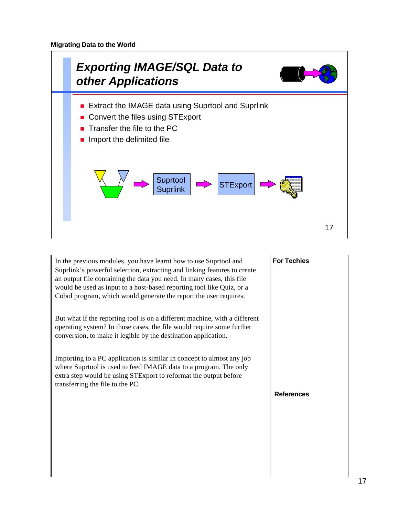

**For Techies References** In the previous modules, you have learnt how to use Suprtool and Suprlink's powerful selection, extracting and linking features to create an output file containing the data you need. In many cases, this file would be used as input to a host-based reporting tool like Quiz, or a Cobol program, which would generate the report the user requires. But what if the reporting tool is on a different machine, with a different operating system? In those cases, the file would require some further conversion, to make it legible by the destination application. Importing to a PC application is similar in concept to almost any job where Suprtool is used to feed IMAGE data to a program. The only extra step would be using STExport to reformat the output before transferring the file to the PC.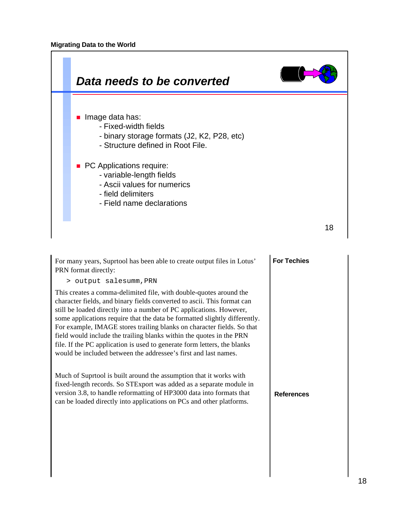

For many years, Suprtool has been able to create output files in Lotus' PRN format directly:

> output salesumm,PRN

This creates a comma-delimited file, with double-quotes around the character fields, and binary fields converted to ascii. This format can still be loaded directly into a number of PC applications. However, some applications require that the data be formatted slightly differently. For example, IMAGE stores trailing blanks on character fields. So that field would include the trailing blanks within the quotes in the PRN file. If the PC application is used to generate form letters, the blanks would be included between the addressee's first and last names.

Much of Suprtool is built around the assumption that it works with fixed-length records. So STExport was added as a separate module in version 3.8, to handle reformatting of HP3000 data into formats that can be loaded directly into applications on PCs and other platforms.

# **For Techies**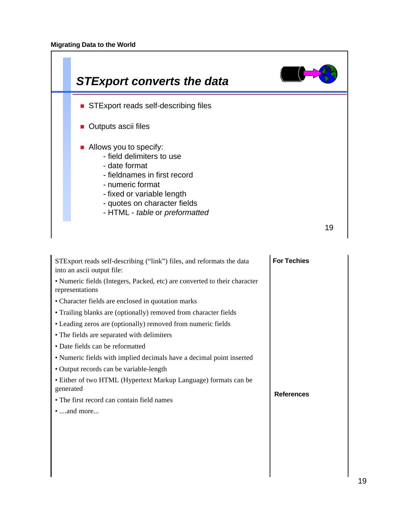

| STExport reads self-describing ("link") files, and reformats the data<br>into an ascii output file: | <b>For Techies</b> |
|-----------------------------------------------------------------------------------------------------|--------------------|
| • Numeric fields (Integers, Packed, etc) are converted to their character<br>representations        |                    |
| • Character fields are enclosed in quotation marks                                                  |                    |
| • Trailing blanks are (optionally) removed from character fields                                    |                    |
| • Leading zeros are (optionally) removed from numeric fields                                        |                    |
| • The fields are separated with delimiters                                                          |                    |
| • Date fields can be reformatted                                                                    |                    |
| • Numeric fields with implied decimals have a decimal point inserted                                |                    |
| • Output records can be variable-length                                                             |                    |
| • Either of two HTML (Hypertext Markup Language) formats can be<br>generated                        | <b>References</b>  |
| • The first record can contain field names                                                          |                    |
| $\bullet$ and more                                                                                  |                    |
|                                                                                                     |                    |
|                                                                                                     |                    |
|                                                                                                     |                    |
|                                                                                                     |                    |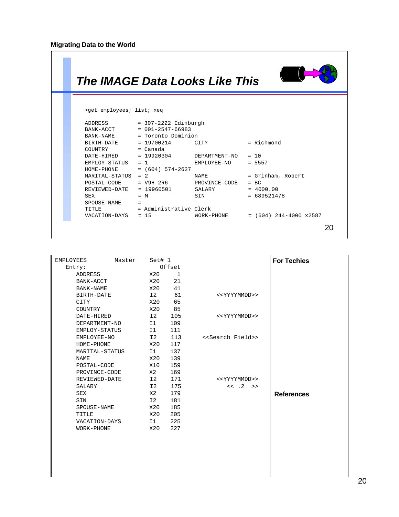$\sqrt{ }$ 

 $\sim 10^4$ 

| The IMAGE Data Looks Like This |                                                              |                                                     |                          |
|--------------------------------|--------------------------------------------------------------|-----------------------------------------------------|--------------------------|
| >qet employees; list; xeq      |                                                              |                                                     |                          |
| ADDRESS                        | $= 307 - 2222$ Edinburgh                                     |                                                     |                          |
|                                | BANK-ACCT = 001-2547-66983                                   |                                                     |                          |
|                                | BANK-NAME = Toronto Dominion<br>$BIRTH-DATE$ = 19700214 CITY |                                                     | $=$ Richmond             |
| $COUNTRY = Canada$             |                                                              |                                                     |                          |
|                                |                                                              | $\texttt{DATE-HIRED}$ = 19920304 DEPARTMENT-NO = 10 |                          |
|                                | $EMPLOY - STATUS = 1$                                        | EMPLOYEE-NO                                         | $= 5557$                 |
|                                | $HOME-PHONE$ = (604) 574-2627                                |                                                     |                          |
| $MARTTAL-STATUS = 2$           |                                                              | NAME NAME                                           | = Grinham, Robert        |
|                                |                                                              | POSTAL-CODE = V9H 2R6 PROVINCE-CODE                 | $= BC$                   |
|                                | REVIEWED-DATE = 19960501                                     | SALARY = 4000.00                                    |                          |
| <b>SEX</b>                     | $= M$                                                        | SIN SIN                                             | $= 689521478$            |
| SPOUSE-NAME                    | $=$                                                          |                                                     |                          |
|                                | TITLE = Administrative Clerk                                 |                                                     |                          |
|                                |                                                              | VACATION-DAYS = 15 WORK-PHONE                       | $= (604)$ 244-4000 x2587 |
|                                |                                                              |                                                     |                          |

| <b>EMPLOYEES</b> | Master | Set# 1 |        |                                  | <b>For Techies</b> |
|------------------|--------|--------|--------|----------------------------------|--------------------|
| Entry:           |        |        | Offset |                                  |                    |
| ADDRESS          |        | X20    | 1      |                                  |                    |
| BANK-ACCT        |        | X20    | 21     |                                  |                    |
| BANK-NAME        |        | X20    | 41     |                                  |                    |
| BIRTH-DATE       |        | I2     | 61     | < <yyyymmdd>&gt;</yyyymmdd>      |                    |
| CITY             |        | X20    | 65     |                                  |                    |
| COUNTRY          |        | X20    | 85     |                                  |                    |
| DATE-HIRED       |        | I2     | 105    | < <yyyymmdd>&gt;</yyyymmdd>      |                    |
| DEPARTMENT-NO    |        | I1     | 109    |                                  |                    |
| EMPLOY-STATUS    |        | I1     | 111    |                                  |                    |
| EMPLOYEE-NO      |        | 12     | 113    | < <search field="">&gt;</search> |                    |
| HOME-PHONE       |        | X20    | 117    |                                  |                    |
| MARITAL-STATUS   |        | I1     | 137    |                                  |                    |
| <b>NAME</b>      |        | X20    | 139    |                                  |                    |
| POSTAL-CODE      |        | X10    | 159    |                                  |                    |
| PROVINCE-CODE    |        | X2     | 169    |                                  |                    |
| REVIEWED-DATE    |        | I2     | 171    | < <yyyymmdd>&gt;</yyyymmdd>      |                    |
| SALARY           |        | I2     | 175    | $<< .2$ >>                       |                    |
| <b>SEX</b>       |        | X2     | 179    |                                  | <b>References</b>  |
| SIN              |        | I2     | 181    |                                  |                    |
| SPOUSE-NAME      |        | X20    | 185    |                                  |                    |
| TITLE            |        | X20    | 205    |                                  |                    |
| VACATION-DAYS    |        | I1     | 225    |                                  |                    |
| WORK-PHONE       |        | X20    | 227    |                                  |                    |
|                  |        |        |        |                                  |                    |

ן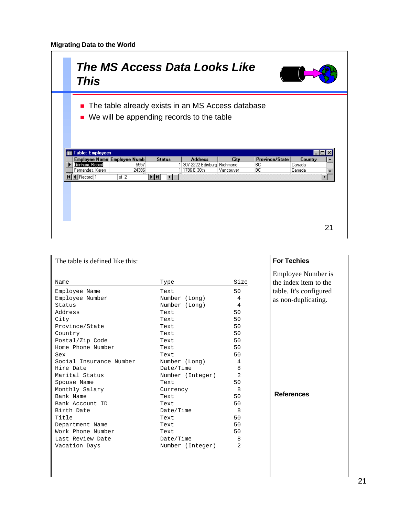# *The MS Access Data Looks Like This*



- The table already exists in an MS Access database
- $\blacksquare$  We will be appending records to the table

|                  | Employee Name Employee Numb | <b>Status</b>                                                                           | <b>Address</b>               | City      | Province/State | Country |  |
|------------------|-----------------------------|-----------------------------------------------------------------------------------------|------------------------------|-----------|----------------|---------|--|
| Grinham, Robert  | 5557                        |                                                                                         | 1 307-2222 Edinburg Richmond |           | BC             | Canada  |  |
| Fernandes, Karen | 24386                       |                                                                                         | 1786 E 30th                  | Vancouver | BC             | Canada  |  |
| Record: 1        | lof 2                       | $\blacktriangleright$ $\blacktriangleright$ $\blacktriangleright$ $\blacktriangleright$ |                              |           |                |         |  |
|                  |                             |                                                                                         |                              |           |                |         |  |
|                  |                             |                                                                                         |                              |           |                |         |  |
|                  |                             |                                                                                         |                              |           |                |         |  |
|                  |                             |                                                                                         |                              |           |                |         |  |
|                  |                             |                                                                                         |                              |           |                |         |  |
|                  |                             |                                                                                         |                              |           |                |         |  |
|                  |                             |                                                                                         |                              |           |                |         |  |

| The table is defined like this: |                  |                |  |  |  |  |
|---------------------------------|------------------|----------------|--|--|--|--|
| Name                            | Type             | Size           |  |  |  |  |
| Employee Name                   | Text             | 50             |  |  |  |  |
| Employee Number                 | Number (Long)    | 4              |  |  |  |  |
| Status                          | Number (Long)    | 4              |  |  |  |  |
| Address                         | Text             | 50             |  |  |  |  |
| City                            | Text             | 50             |  |  |  |  |
| Province/State                  | Text             | 50             |  |  |  |  |
| Country                         | Text             | 50             |  |  |  |  |
| Postal/Zip Code                 | Text             | 50             |  |  |  |  |
| Home Phone Number               | Text             | 50             |  |  |  |  |
| Sex                             | Text             | 50             |  |  |  |  |
| Social Insurance Number         | Number (Long)    | 4              |  |  |  |  |
| Hire Date                       | Date/Time        | 8              |  |  |  |  |
| Marital Status                  | Number (Integer) | $\mathfrak{D}$ |  |  |  |  |
| Spouse Name                     | Text             | 50             |  |  |  |  |
| Monthly Salary                  | Currency         | 8              |  |  |  |  |
| Bank Name                       | Text             | 50             |  |  |  |  |
| Bank Account ID                 | Text             | 50             |  |  |  |  |
| Birth Date                      | Date/Time        | 8              |  |  |  |  |
| Title                           | Text             | 50             |  |  |  |  |
| Department Name                 | Text             | 50             |  |  |  |  |
| Work Phone Number               | Text             | 50             |  |  |  |  |
| Last Review Date                | Date/Time        | 8              |  |  |  |  |
| Vacation Days                   | Number (Integer) | $\mathfrak{D}$ |  |  |  |  |

# **For Techies**

Employee Number is the index item to the table. It's configured as non-duplicating.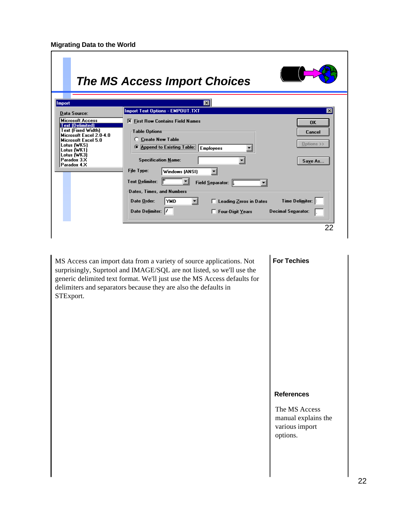|                                                                                                                                                                                                              | <b>The MS Access Import Choices</b>                                                                                                                                                                                                                                                                                                                                                                                                                                                 |
|--------------------------------------------------------------------------------------------------------------------------------------------------------------------------------------------------------------|-------------------------------------------------------------------------------------------------------------------------------------------------------------------------------------------------------------------------------------------------------------------------------------------------------------------------------------------------------------------------------------------------------------------------------------------------------------------------------------|
| <b>Import</b>                                                                                                                                                                                                | ×l                                                                                                                                                                                                                                                                                                                                                                                                                                                                                  |
| <b>Data Source:</b>                                                                                                                                                                                          | <b>Import Text Options - EMPOUT.TXT</b><br>$\boldsymbol{\mathsf{x}}$                                                                                                                                                                                                                                                                                                                                                                                                                |
| <b>Microsoft Access</b><br><b>Text (Delimited)</b><br><b>Text (Fixed Width)</b><br>Microsoft Excel 2.0-4.0<br>Microsoft Excel 5.0<br>Lotus (WKS)<br>Lotus (WK1)<br>Lotus (WK3)<br>Paradox 3.X<br>Paradox 4.X | <b>X</b> First Row Contains Field Names<br><b>OK</b><br>Table Options<br>Cancel<br><b>Create New Table</b><br>Options >><br>Append to Existing Table:<br><b>Employees</b><br><b>Specification Name:</b><br>Save As<br>File Type:<br>Windows (ANSI)<br><b>Text Delimiter:</b><br>Field Separator:<br>Dates, Times, and Numbers<br>Time Delimiter:<br>Date Order:<br><b>YMD</b><br>□ Leading Zeros in Dates<br>Date Delimiter:<br><b>Decimal Separator:</b><br>Four-Digit Years<br>22 |
|                                                                                                                                                                                                              |                                                                                                                                                                                                                                                                                                                                                                                                                                                                                     |

MS Access can import data from a variety of source applications. Not surprisingly, Suprtool and IMAGE/SQL are not listed, so we'll use the generic delimited text format. We'll just use the MS Access defaults for delimiters and separators because they are also the defaults in STExport.

# **For Techies**

#### **References**

The MS Access manual explains the various import options.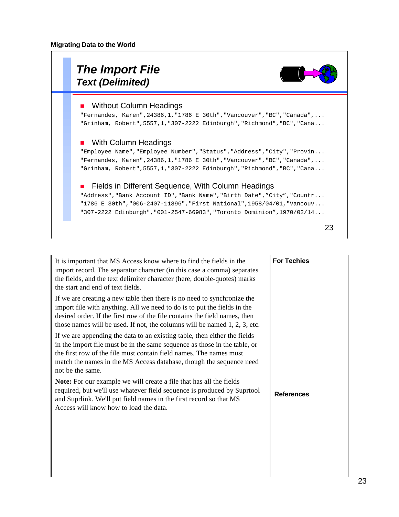

| It is important that MS Access know where to find the fields in the<br>import record. The separator character (in this case a comma) separates<br>the fields, and the text delimiter character (here, double-quotes) marks<br>the start and end of text fields.                                                         | <b>For Techies</b> |
|-------------------------------------------------------------------------------------------------------------------------------------------------------------------------------------------------------------------------------------------------------------------------------------------------------------------------|--------------------|
| If we are creating a new table then there is no need to synchronize the<br>import file with anything. All we need to do is to put the fields in the<br>desired order. If the first row of the file contains the field names, then<br>those names will be used. If not, the columns will be named $1, 2, 3$ , etc.       |                    |
| If we are appending the data to an existing table, then either the fields<br>in the import file must be in the same sequence as those in the table, or<br>the first row of the file must contain field names. The names must<br>match the names in the MS Access database, though the sequence need<br>not be the same. |                    |
| Note: For our example we will create a file that has all the fields<br>required, but we'll use whatever field sequence is produced by Suprtool<br>and Suprlink. We'll put field names in the first record so that MS<br>Access will know how to load the data.                                                          | <b>References</b>  |
|                                                                                                                                                                                                                                                                                                                         |                    |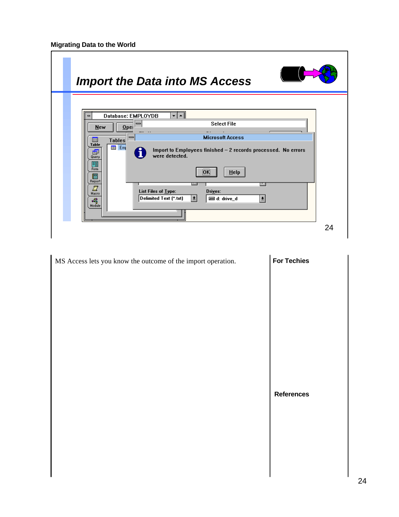| <b>Import the Data into MS Access</b>                                                                                                                                                                                                                                                                                                                                                                                                                                       |    |
|-----------------------------------------------------------------------------------------------------------------------------------------------------------------------------------------------------------------------------------------------------------------------------------------------------------------------------------------------------------------------------------------------------------------------------------------------------------------------------|----|
| $\blacktriangle$<br>Database: EMPLOYDB<br>▾╹<br><b>Select File</b><br>$Q$ pel<br>New<br><b>Microsoft Access</b><br>$\blacksquare$<br><b>Tables</b><br>圃<br><b>Table</b><br>iiii Em<br>Import to Employees finished - 2 records processed. No errors<br>犘<br>were detected.<br>Query<br>B<br>Form<br><b>OK</b><br>$He$ lp<br>E<br>Report<br>Y.<br>List Files of Type:<br>Drives:<br>Macro<br>$\vert \pm \vert$<br>Delimited Text [*.txt]<br>目 d: drive_d<br>호<br>4<br>Module |    |
|                                                                                                                                                                                                                                                                                                                                                                                                                                                                             | 24 |

| MS Access lets you know the outcome of the import operation. | <b>For Techies</b> |
|--------------------------------------------------------------|--------------------|
|                                                              |                    |
|                                                              |                    |
|                                                              |                    |
|                                                              |                    |
|                                                              |                    |
|                                                              |                    |
|                                                              | <b>References</b>  |
|                                                              |                    |
|                                                              |                    |
|                                                              |                    |
|                                                              |                    |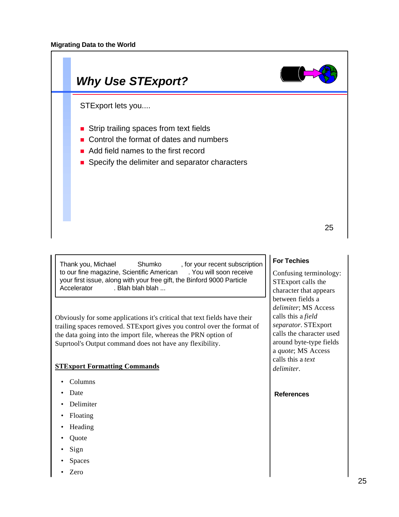

Thank you, Michael Shumko, for your recent subscription to our fine magazine, Scientific American . You will soon receive your first issue, along with your free gift, the Binford 9000 Particle Accelerator . Blah blah blah ...

Obviously for some applications it's critical that text fields have their trailing spaces removed. STExport gives you control over the format of the data going into the import file, whereas the PRN option of Suprtool's Output command does not have any flexibility.

## **STExport Formatting Commands**

- Columns
- Date
- Delimiter
- Floating
- Heading
- Quote
- Sign
- **Spaces**
- Zero

## **For Techies**

Confusing terminology: STExport calls the character that appears between fields a *delimiter*; MS Access calls this a *field separator*. STExport calls the character used around byte-type fields a *quote*; MS Access calls this a *text delimiter*.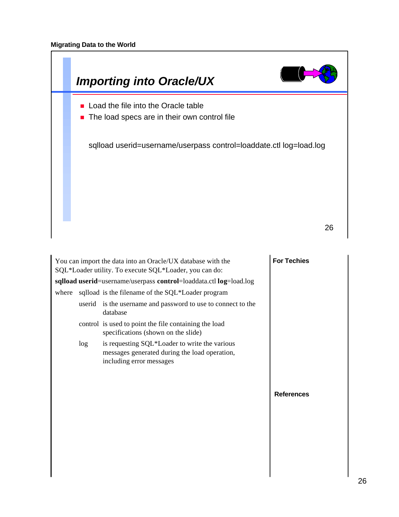

|       |        | You can import the data into an Oracle/UX database with the<br>SQL*Loader utility. To execute SQL*Loader, you can do:      | <b>For Techies</b> |
|-------|--------|----------------------------------------------------------------------------------------------------------------------------|--------------------|
|       |        | sqlload userid=username/userpass control=loaddata.ctl log=load.log                                                         |                    |
| where |        | sqlload is the filename of the SQL*Loader program                                                                          |                    |
|       | userid | is the username and password to use to connect to the<br>database                                                          |                    |
|       |        | control is used to point the file containing the load<br>specifications (shown on the slide)                               |                    |
|       | log    | is requesting SQL*Loader to write the various<br>messages generated during the load operation,<br>including error messages |                    |
|       |        |                                                                                                                            | <b>References</b>  |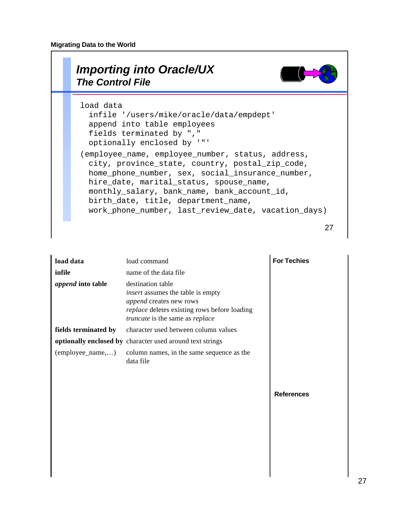# **Migrating Data to the World**

|  | <b>Importing into Oracle/UX</b><br><b>The Control File</b>                                                                                                                                                                                                                                                                                       |
|--|--------------------------------------------------------------------------------------------------------------------------------------------------------------------------------------------------------------------------------------------------------------------------------------------------------------------------------------------------|
|  | load data<br>infile '/users/mike/oracle/data/empdept'<br>append into table employees<br>fields terminated by ","<br>optionally enclosed by '"'                                                                                                                                                                                                   |
|  | (employee_name, employee_number, status, address,<br>city, province_state, country, postal_zip_code,<br>home_phone_number, sex, social_insurance_number,<br>hire_date, marital_status, spouse_name,<br>monthly_salary, bank_name, bank_account_id,<br>birth_date, title, department_name,<br>work_phone_number, last_review_date, vacation_days) |
|  |                                                                                                                                                                                                                                                                                                                                                  |

| load data                | load command                                                                                                                                                                | <b>For Techies</b> |
|--------------------------|-----------------------------------------------------------------------------------------------------------------------------------------------------------------------------|--------------------|
| infile                   | name of the data file                                                                                                                                                       |                    |
| <i>append</i> into table | destination table<br><i>insert</i> assumes the table is empty<br>append creates new rows<br>replace deletes existing rows before loading<br>truncate is the same as replace |                    |
| fields terminated by     | character used between column values                                                                                                                                        |                    |
|                          | optionally enclosed by character used around text strings                                                                                                                   |                    |
| (employee_name,)         | column names, in the same sequence as the<br>data file                                                                                                                      |                    |
|                          |                                                                                                                                                                             | <b>References</b>  |

 $\overline{\phantom{a}}$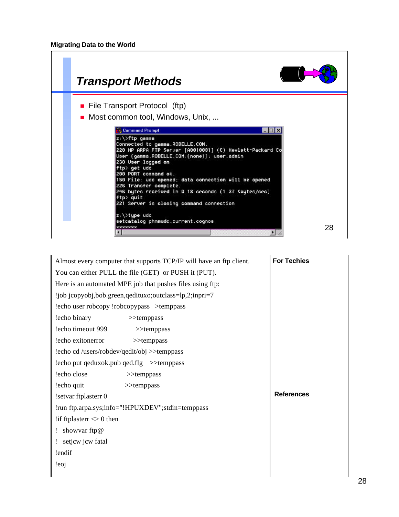| <b>Transport Methods</b>                                                                                                                                                                                                                                                                                                                                                                                                                                                                      |
|-----------------------------------------------------------------------------------------------------------------------------------------------------------------------------------------------------------------------------------------------------------------------------------------------------------------------------------------------------------------------------------------------------------------------------------------------------------------------------------------------|
| • File Transport Protocol (ftp)<br>Most common tool, Windows, Unix,                                                                                                                                                                                                                                                                                                                                                                                                                           |
| <b>ES Command Prompt</b><br>$ \Box$ $\times$<br>z:\>ftp gamma<br>Connected to gamma.ROBELLE.COM.<br>220 HP ARPA FTP Server [A0010001] (C) Hewlett-Packard Co<br>User (gamma.ROBELLE.COM:(none)): user.admin<br>230 User logged on<br>ftp> get udc<br>200 PORT command ok.<br>150 File: udc opened; data connection will be opened<br>226 Transfer complete.<br>246 bytes received in 0.18 seconds (1.37 Kbytes/sec)<br>$ftp$ quit<br>221 Server is closing command connection<br>z:\>tupe udc |
| setcatalog phnmudc.current.cognos<br>28<br>*******                                                                                                                                                                                                                                                                                                                                                                                                                                            |

|                                             | Almost every computer that supports TCP/IP will have an ftp client. | <b>For Techies</b> |
|---------------------------------------------|---------------------------------------------------------------------|--------------------|
|                                             | You can either PULL the file (GET) or PUSH it (PUT).                |                    |
|                                             | Here is an automated MPE job that pushes files using ftp:           |                    |
|                                             | !job jcopyobj,bob.green,qedituxo;outclass=lp,2;inpri=7              |                    |
| !echo user robcopy !robcopypass >temppass   |                                                                     |                    |
| lecho binary                                | $\gg$ temppass                                                      |                    |
| lecho timeout 999                           | $>\x>$ temppass                                                     |                    |
| lecho exitonerror                           | $>\varepsilon$ temppass                                             |                    |
| !echo cd /users/robdev/qedit/obj >>temppass |                                                                     |                    |
| !echo put qeduxok.pub qed.flg >>temppass    |                                                                     |                    |
| lecho close                                 | $>\x>$ temppass                                                     |                    |
| lecho quit                                  | $>\x>$ temppass                                                     |                    |
| !setvar ftplasterr 0                        |                                                                     | <b>References</b>  |
|                                             | !run ftp.arpa.sys;info="!HPUXDEV";stdin=temppass                    |                    |
| !if ftplaster $\leq 0$ then                 |                                                                     |                    |
| showvar ftp@                                |                                                                     |                    |
| setjcw jcw fatal                            |                                                                     |                    |
| !endif                                      |                                                                     |                    |
| leoj.                                       |                                                                     |                    |
|                                             |                                                                     |                    |

٦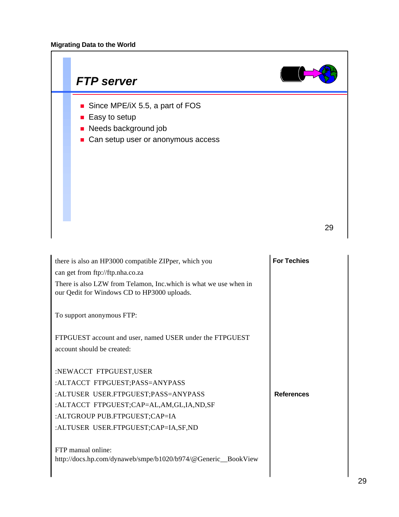

| there is also an HP3000 compatible ZIPper, which you                                                             | <b>For Techies</b> |
|------------------------------------------------------------------------------------------------------------------|--------------------|
| can get from ftp://ftp.nha.co.za                                                                                 |                    |
| There is also LZW from Telamon, Inc. which is what we use when in<br>our Qedit for Windows CD to HP3000 uploads. |                    |
| To support anonymous FTP:                                                                                        |                    |
| FTPGUEST account and user, named USER under the FTPGUEST                                                         |                    |
| account should be created:                                                                                       |                    |
|                                                                                                                  |                    |
| :NEWACCT FTPGUEST,USER                                                                                           |                    |
| :ALTACCT FTPGUEST;PASS=ANYPASS                                                                                   |                    |
| :ALTUSER USER.FTPGUEST;PASS=ANYPASS                                                                              | <b>References</b>  |
| :ALTACCT FTPGUEST;CAP=AL,AM,GL,IA,ND,SF                                                                          |                    |
| :ALTGROUP PUB.FTPGUEST;CAP=IA                                                                                    |                    |
| :ALTUSER USER.FTPGUEST;CAP=IA,SF,ND                                                                              |                    |
|                                                                                                                  |                    |
| FTP manual online:                                                                                               |                    |
| http://docs.hp.com/dynaweb/smpe/b1020/b974/@Generic_BookView                                                     |                    |
|                                                                                                                  |                    |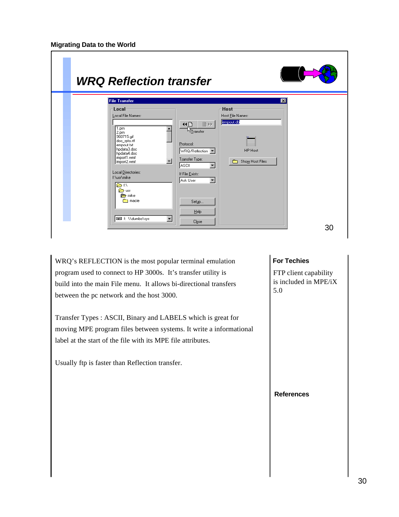| <b>WRQ Reflection transfer</b>                                                                                                                                                                                                                                                                                           |                                                                                                                                                                                                                                                                                                                |                                                             |
|--------------------------------------------------------------------------------------------------------------------------------------------------------------------------------------------------------------------------------------------------------------------------------------------------------------------------|----------------------------------------------------------------------------------------------------------------------------------------------------------------------------------------------------------------------------------------------------------------------------------------------------------------|-------------------------------------------------------------|
| <b>File Transfer</b><br><b>Local</b><br>Local File Names:<br>$\overline{1}$ .pm<br>2.pm<br>960715.qif<br>doc_rpto.rtf<br>empout.txt<br>hpdata3.doc<br>hpdata4.doc<br>import1.wmf<br>import2.wmf<br>Local Directories:<br>f:\usr\mike<br><b>BR</b><br><b>P</b> usn<br><b>nike</b> mike<br><b>nacie</b><br>E f: WdumboVsys | Host-<br>Host File Names:<br>empout.db<br>■▶<br>ধ⊡<br>۰<br>hstransfer<br>Protocol:<br> WRQ/Reflection  ▼<br>Transfer Type:<br>$\overline{\phantom{a}}$<br>m.<br>$\blacktriangleleft$<br>ASCII.<br>If File Exists:<br>$\overline{\phantom{a}}$<br>Ask User<br>Setup<br>$He$ lp<br>$\blacktriangledown$<br>Close | $\overline{\mathbf{x}}$<br>HP Host<br>Show Host Files<br>30 |

WRQ's REFLECTION is the most popular terminal emulation program used to connect to HP 3000s. It's transfer utility is build into the main File menu. It allows bi-directional transfers between the pc network and the host 3000.

Transfer Types : ASCII, Binary and LABELS which is great for moving MPE program files between systems. It write a informational label at the start of the file with its MPE file attributes.

Usually ftp is faster than Reflection transfer.

# **For Techies**

FTP client capability is included in MPE/iX 5.0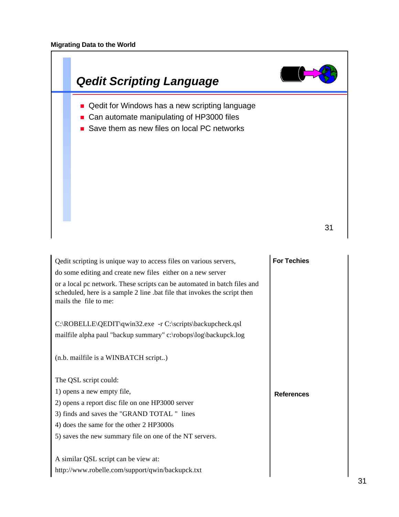

| C:\ROBELLE\QEDIT\qwin32.exe -r C:\scripts\backupcheck.qsl       |
|-----------------------------------------------------------------|
| mailfile alpha paul "backup summary" c:\robops\log\backupck.log |

(n.b. mailfile is a WINBATCH script..)

The QSL script could:

1) opens a new empty file, 2) opens a report disc file on one HP3000 server 3) finds and saves the "GRAND TOTAL " lines

4) does the same for the other 2 HP3000s

5) saves the new summary file on one of the NT servers.

A similar QSL script can be view at: http://www.robelle.com/support/qwin/backupck.txt